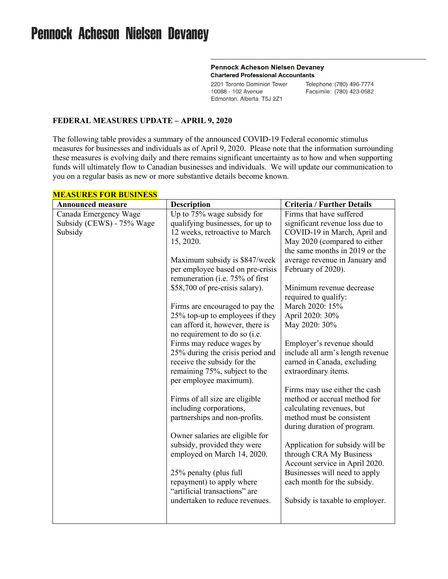# **Pennock Acheson Nielsen Devaney**

#### **Pennock Acheson Nielsen Devaney Chartered Professional Accountants**

2201 Toronto Dominion Tower 10088 - 102 Avenue Edmonton, Alberta T5J 2Z1

Telephone: (780) 496-7774 Facsimile: (780) 423-0582

#### **FEDERAL MEASURES UPDATE – APRIL 9, 2020**

The following table provides a summary of the announced COVID-19 Federal economic stimulus measures for businesses and individuals as of April 9, 2020. Please note that the information surrounding these measures is evolving daily and there remains significant uncertainty as to how and when supporting funds will ultimately flow to Canadian businesses and individuals. We will update our communication to you on a regular basis as new or more substantive details become known.

| <b>Announced measure</b>  | <b>Description</b>                                                 | <b>Criteria / Further Details</b>       |
|---------------------------|--------------------------------------------------------------------|-----------------------------------------|
| Canada Emergency Wage     | Up to 75% wage subsidy for                                         | Firms that have suffered                |
| Subsidy (CEWS) - 75% Wage | qualifying businesses, for up to                                   | significant revenue loss due to         |
| Subsidy                   | 12 weeks, retroactive to March                                     | COVID-19 in March, April and            |
|                           | 15, 2020.                                                          | May 2020 (compared to either            |
|                           |                                                                    | the same months in 2019 or the          |
|                           | Maximum subsidy is \$847/week                                      | average revenue in January and          |
|                           | per employee based on pre-crisis                                   | February of 2020).                      |
|                           | remuneration (i.e. 75% of first                                    |                                         |
|                           | \$58,700 of pre-crisis salary).                                    | Minimum revenue decrease                |
|                           |                                                                    | required to qualify:<br>March 2020: 15% |
|                           | Firms are encouraged to pay the<br>25% top-up to employees if they | April 2020: 30%                         |
|                           | can afford it, however, there is                                   | May 2020: 30%                           |
|                           | no requirement to do so (i.e.                                      |                                         |
|                           | Firms may reduce wages by                                          | Employer's revenue should               |
|                           | 25% during the crisis period and                                   | include all arm's length revenue        |
|                           | receive the subsidy for the                                        | earned in Canada, excluding             |
|                           | remaining 75%, subject to the                                      | extraordinary items.                    |
|                           | per employee maximum).                                             |                                         |
|                           |                                                                    | Firms may use either the cash           |
|                           | Firms of all size are eligible                                     | method or accrual method for            |
|                           | including corporations,                                            | calculating revenues, but               |
|                           | partnerships and non-profits.                                      | method must be consistent               |
|                           |                                                                    | during duration of program.             |
|                           | Owner salaries are eligible for                                    |                                         |
|                           | subsidy, provided they were                                        | Application for subsidy will be         |
|                           | employed on March 14, 2020.                                        | through CRA My Business                 |
|                           |                                                                    | Account service in April 2020.          |
|                           | 25% penalty (plus full                                             | Businesses will need to apply           |
|                           | repayment) to apply where                                          | each month for the subsidy.             |
|                           | "artificial transactions" are                                      |                                         |
|                           | undertaken to reduce revenues.                                     | Subsidy is taxable to employer.         |
|                           |                                                                    |                                         |
|                           |                                                                    |                                         |

### **MEASURES FOR BUSINESS**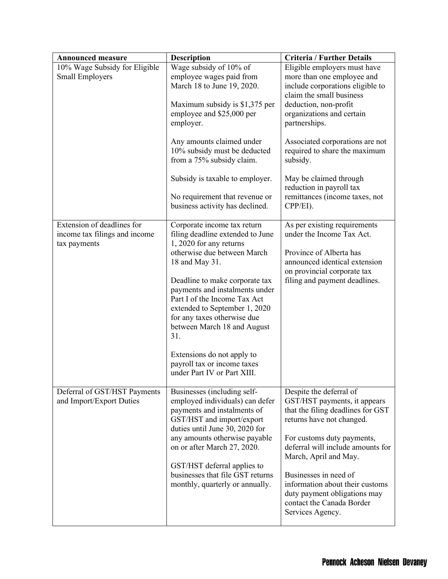| <b>Announced measure</b>                                                    | <b>Description</b>                                                                                                                                                                                                                                                                                                                                                                                                                                | <b>Criteria / Further Details</b>                                                                                                                                                                                                                                                                                                                                         |
|-----------------------------------------------------------------------------|---------------------------------------------------------------------------------------------------------------------------------------------------------------------------------------------------------------------------------------------------------------------------------------------------------------------------------------------------------------------------------------------------------------------------------------------------|---------------------------------------------------------------------------------------------------------------------------------------------------------------------------------------------------------------------------------------------------------------------------------------------------------------------------------------------------------------------------|
| 10% Wage Subsidy for Eligible<br>Small Employers                            | Wage subsidy of 10% of<br>employee wages paid from<br>March 18 to June 19, 2020.<br>Maximum subsidy is \$1,375 per<br>employee and \$25,000 per<br>employer.<br>Any amounts claimed under<br>10% subsidy must be deducted<br>from a 75% subsidy claim.<br>Subsidy is taxable to employer.<br>No requirement that revenue or                                                                                                                       | Eligible employers must have<br>more than one employee and<br>include corporations eligible to<br>claim the small business<br>deduction, non-profit<br>organizations and certain<br>partnerships.<br>Associated corporations are not<br>required to share the maximum<br>subsidy.<br>May be claimed through<br>reduction in payroll tax<br>remittances (income taxes, not |
|                                                                             | business activity has declined.                                                                                                                                                                                                                                                                                                                                                                                                                   | CPP/EI).                                                                                                                                                                                                                                                                                                                                                                  |
| Extension of deadlines for<br>income tax filings and income<br>tax payments | Corporate income tax return<br>filing deadline extended to June<br>1, 2020 for any returns<br>otherwise due between March<br>18 and May 31.<br>Deadline to make corporate tax<br>payments and instalments under<br>Part I of the Income Tax Act<br>extended to September 1, 2020<br>for any taxes otherwise due<br>between March 18 and August<br>31.<br>Extensions do not apply to<br>payroll tax or income taxes<br>under Part IV or Part XIII. | As per existing requirements<br>under the Income Tax Act.<br>Province of Alberta has<br>announced identical extension<br>on provincial corporate tax<br>filing and payment deadlines.                                                                                                                                                                                     |
| Deferral of GST/HST Payments<br>and Import/Export Duties                    | Businesses (including self-<br>employed individuals) can defer<br>payments and instalments of<br>GST/HST and import/export<br>duties until June 30, 2020 for<br>any amounts otherwise payable<br>on or after March 27, 2020.<br>GST/HST deferral applies to<br>businesses that file GST returns<br>monthly, quarterly or annually.                                                                                                                | Despite the deferral of<br>GST/HST payments, it appears<br>that the filing deadlines for GST<br>returns have not changed.<br>For customs duty payments,<br>deferral will include amounts for<br>March, April and May.<br>Businesses in need of<br>information about their customs<br>duty payment obligations may<br>contact the Canada Border<br>Services Agency.        |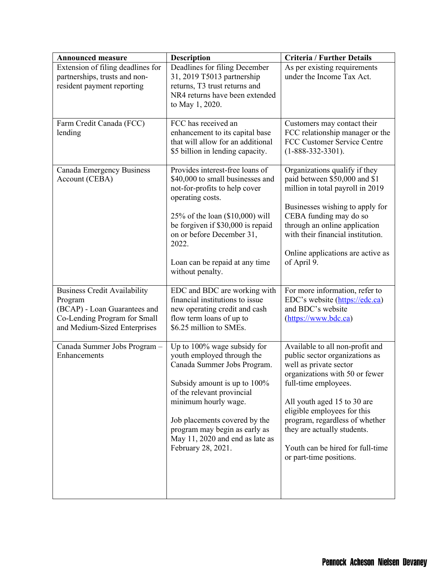| <b>Announced measure</b>                                                                                                                       | <b>Description</b>                                                                                                                                                                                                                                                                                        | <b>Criteria / Further Details</b>                                                                                                                                                                                                                                                                                                                   |
|------------------------------------------------------------------------------------------------------------------------------------------------|-----------------------------------------------------------------------------------------------------------------------------------------------------------------------------------------------------------------------------------------------------------------------------------------------------------|-----------------------------------------------------------------------------------------------------------------------------------------------------------------------------------------------------------------------------------------------------------------------------------------------------------------------------------------------------|
| Extension of filing deadlines for<br>partnerships, trusts and non-<br>resident payment reporting                                               | Deadlines for filing December<br>31, 2019 T5013 partnership<br>returns, T3 trust returns and<br>NR4 returns have been extended<br>to May 1, 2020.                                                                                                                                                         | As per existing requirements<br>under the Income Tax Act.                                                                                                                                                                                                                                                                                           |
| Farm Credit Canada (FCC)<br>lending                                                                                                            | FCC has received an<br>enhancement to its capital base<br>that will allow for an additional<br>\$5 billion in lending capacity.                                                                                                                                                                           | Customers may contact their<br>FCC relationship manager or the<br>FCC Customer Service Centre<br>$(1-888-332-3301).$                                                                                                                                                                                                                                |
| Canada Emergency Business<br>Account (CEBA)                                                                                                    | Provides interest-free loans of<br>\$40,000 to small businesses and<br>not-for-profits to help cover<br>operating costs.<br>25% of the loan (\$10,000) will<br>be forgiven if \$30,000 is repaid<br>on or before December 31,<br>2022.<br>Loan can be repaid at any time<br>without penalty.              | Organizations qualify if they<br>paid between \$50,000 and \$1<br>million in total payroll in 2019<br>Businesses wishing to apply for<br>CEBA funding may do so<br>through an online application<br>with their financial institution.<br>Online applications are active as<br>of April 9.                                                           |
| <b>Business Credit Availability</b><br>Program<br>(BCAP) - Loan Guarantees and<br>Co-Lending Program for Small<br>and Medium-Sized Enterprises | EDC and BDC are working with<br>financial institutions to issue<br>new operating credit and cash<br>flow term loans of up to<br>\$6.25 million to SMEs.                                                                                                                                                   | For more information, refer to<br>EDC's website (https://edc.ca)<br>and BDC's website<br>(https://www.bdc.ca)                                                                                                                                                                                                                                       |
| Canada Summer Jobs Program -<br>Enhancements                                                                                                   | Up to 100% wage subsidy for<br>youth employed through the<br>Canada Summer Jobs Program.<br>Subsidy amount is up to 100%<br>of the relevant provincial<br>minimum hourly wage.<br>Job placements covered by the<br>program may begin as early as<br>May 11, 2020 and end as late as<br>February 28, 2021. | Available to all non-profit and<br>public sector organizations as<br>well as private sector<br>organizations with 50 or fewer<br>full-time employees.<br>All youth aged 15 to 30 are<br>eligible employees for this<br>program, regardless of whether<br>they are actually students.<br>Youth can be hired for full-time<br>or part-time positions. |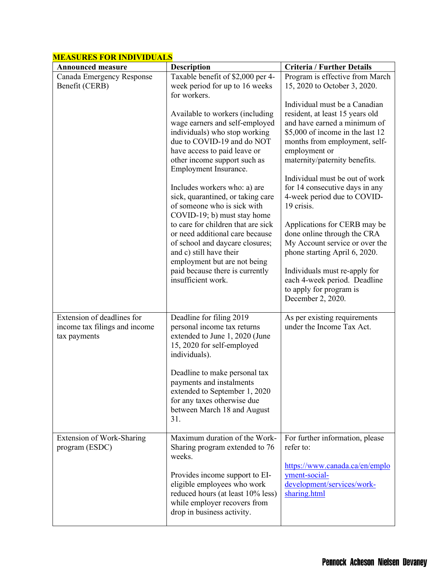| <b>Announced measure</b>                                                    | Description                                                                                                                                                                                                                                                                                                                                                                                                                                                                                                                                                                                                  | <b>Criteria / Further Details</b>                                                                                                                                                                                                                                                                                                                                                                                                                                                                                                                                                           |
|-----------------------------------------------------------------------------|--------------------------------------------------------------------------------------------------------------------------------------------------------------------------------------------------------------------------------------------------------------------------------------------------------------------------------------------------------------------------------------------------------------------------------------------------------------------------------------------------------------------------------------------------------------------------------------------------------------|---------------------------------------------------------------------------------------------------------------------------------------------------------------------------------------------------------------------------------------------------------------------------------------------------------------------------------------------------------------------------------------------------------------------------------------------------------------------------------------------------------------------------------------------------------------------------------------------|
| Canada Emergency Response                                                   | Taxable benefit of \$2,000 per 4-                                                                                                                                                                                                                                                                                                                                                                                                                                                                                                                                                                            | Program is effective from March                                                                                                                                                                                                                                                                                                                                                                                                                                                                                                                                                             |
| Benefit (CERB)                                                              | week period for up to 16 weeks                                                                                                                                                                                                                                                                                                                                                                                                                                                                                                                                                                               | 15, 2020 to October 3, 2020.                                                                                                                                                                                                                                                                                                                                                                                                                                                                                                                                                                |
|                                                                             | for workers.<br>Available to workers (including<br>wage earners and self-employed<br>individuals) who stop working<br>due to COVID-19 and do NOT<br>have access to paid leave or<br>other income support such as<br>Employment Insurance.<br>Includes workers who: a) are<br>sick, quarantined, or taking care<br>of someone who is sick with<br>COVID-19; b) must stay home<br>to care for children that are sick<br>or need additional care because<br>of school and daycare closures;<br>and c) still have their<br>employment but are not being<br>paid because there is currently<br>insufficient work. | Individual must be a Canadian<br>resident, at least 15 years old<br>and have earned a minimum of<br>\$5,000 of income in the last 12<br>months from employment, self-<br>employment or<br>maternity/paternity benefits.<br>Individual must be out of work<br>for 14 consecutive days in any<br>4-week period due to COVID-<br>19 crisis.<br>Applications for CERB may be<br>done online through the CRA<br>My Account service or over the<br>phone starting April 6, 2020.<br>Individuals must re-apply for<br>each 4-week period. Deadline<br>to apply for program is<br>December 2, 2020. |
| Extension of deadlines for<br>income tax filings and income<br>tax payments | Deadline for filing 2019<br>personal income tax returns<br>extended to June 1, 2020 (June<br>15, 2020 for self-employed<br>individuals).<br>Deadline to make personal tax<br>payments and instalments<br>extended to September 1, 2020<br>for any taxes otherwise due<br>between March 18 and August<br>31.                                                                                                                                                                                                                                                                                                  | As per existing requirements<br>under the Income Tax Act.                                                                                                                                                                                                                                                                                                                                                                                                                                                                                                                                   |
| Extension of Work-Sharing<br>program (ESDC)                                 | Maximum duration of the Work-<br>Sharing program extended to 76<br>weeks.<br>Provides income support to EI-<br>eligible employees who work<br>reduced hours (at least 10% less)<br>while employer recovers from<br>drop in business activity.                                                                                                                                                                                                                                                                                                                                                                | For further information, please<br>refer to:<br>https://www.canada.ca/en/emplo<br>yment-social-<br>development/services/work-<br>sharing.html                                                                                                                                                                                                                                                                                                                                                                                                                                               |

## **MEASURES FOR INDIVIDUALS**